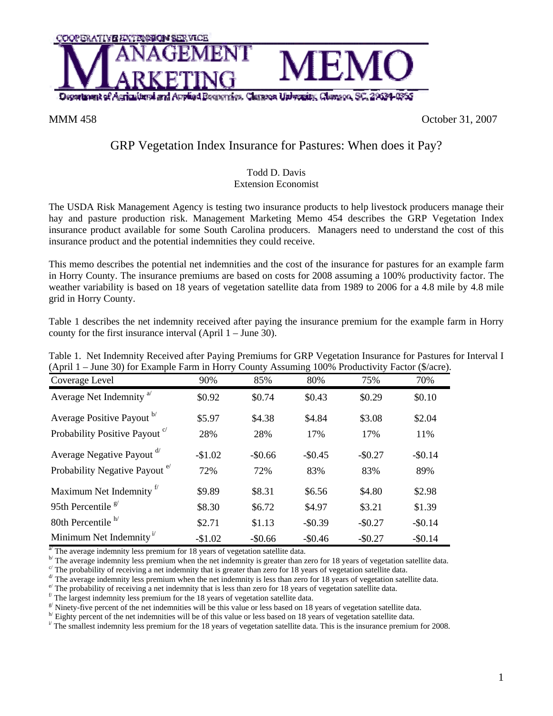

MMM 458 October 31, 2007

## GRP Vegetation Index Insurance for Pastures: When does it Pay?

## Todd D. Davis Extension Economist

The USDA Risk Management Agency is testing two insurance products to help livestock producers manage their hay and pasture production risk. Management Marketing Memo 454 describes the GRP Vegetation Index insurance product available for some South Carolina producers. Managers need to understand the cost of this insurance product and the potential indemnities they could receive.

This memo describes the potential net indemnities and the cost of the insurance for pastures for an example farm in Horry County. The insurance premiums are based on costs for 2008 assuming a 100% productivity factor. The weather variability is based on 18 years of vegetation satellite data from 1989 to 2006 for a 4.8 mile by 4.8 mile grid in Horry County.

Table 1 describes the net indemnity received after paying the insurance premium for the example farm in Horry county for the first insurance interval (April 1 – June 30).

| (April 1 – June 30) for Example Farm in Horry County Assuming 100% Productivity Factor (\$/acre |          |          |          |          |          |
|-------------------------------------------------------------------------------------------------|----------|----------|----------|----------|----------|
| Coverage Level                                                                                  | 90%      | 85%      | 80%      | 75%      | 70%      |
| Average Net Indemnity <sup>a</sup>                                                              | \$0.92   | \$0.74   | \$0.43   | \$0.29   | \$0.10   |
| Average Positive Payout b                                                                       | \$5.97   | \$4.38   | \$4.84   | \$3.08   | \$2.04   |
| Probability Positive Payout <sup>c</sup>                                                        | 28%      | 28%      | 17%      | 17%      | 11%      |
| Average Negative Payout d'                                                                      | $-$1.02$ | $-$0.66$ | $-$0.45$ | $-$0.27$ | $-$0.14$ |
| Probability Negative Payout <sup>e</sup>                                                        | 72%      | 72%      | 83%      | 83%      | 89%      |
| Maximum Net Indemnity <sup>f</sup>                                                              | \$9.89   | \$8.31   | \$6.56   | \$4.80   | \$2.98   |
| 95th Percentile $\frac{g}{g}$                                                                   | \$8.30   | \$6.72   | \$4.97   | \$3.21   | \$1.39   |
| 80th Percentile <sup>h/</sup>                                                                   | \$2.71   | \$1.13   | $-$0.39$ | $-$0.27$ | $-$0.14$ |
| Minimum Net Indemnity <sup><math>1</math></sup>                                                 | $-$1.02$ | $-$0.66$ | $-$0.46$ | $-$0.27$ | $-$0.14$ |

Table 1. Net Indemnity Received after Paying Premiums for GRP Vegetation Insurance for Pastures for Interval I (April 1 – June 30) for Example Farm in Horry County Assuming 100% Productivity Factor (\$/acre).

 $\frac{a'}{b}$  The average indemnity less premium for 18 years of vegetation satellite data.

 $\frac{b'}{c}$  The average indemnity less premium when the net indemnity is greater than zero for 18 years of vegetation satellite data.<br>
<sup>c</sup> The probability of receiving a net indemnity that is greater than zero for 18 years

 $d$  The average indemnity less premium when the net indemnity is less than zero for 18 years of vegetation satellite data.

 $e^{i}$  The probability of receiving a net indemnity that is less than zero for 18 years of vegetation satellite data.

 $\beta$ <sup>f</sup> The largest indemnity less premium for the 18 years of vegetation satellite data.

 $\frac{g}{h}$  Ninety-five percent of the net indemnities will be this value or less based on 18 years of vegetation satellite data.<br>
<sup>h</sup> Eighty percent of the net indemnities will be of this value or less based on 18 years of

The smallest indemnity less premium for the 18 years of vegetation satellite data. This is the insurance premium for 2008.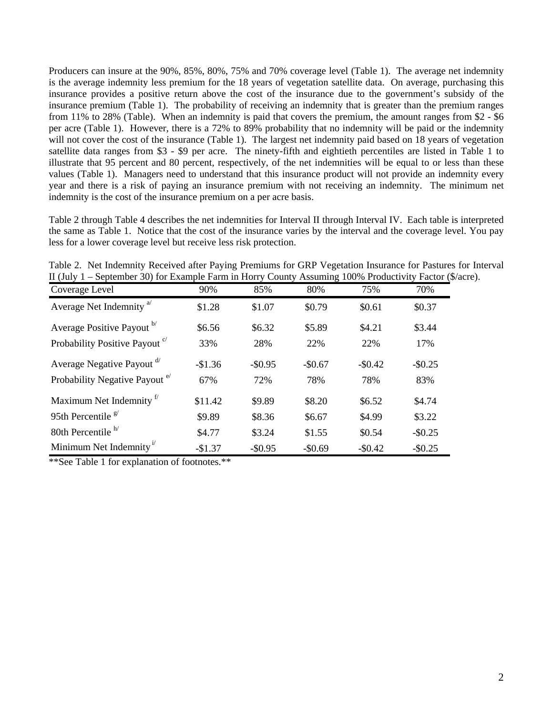Producers can insure at the 90%, 85%, 80%, 75% and 70% coverage level (Table 1). The average net indemnity is the average indemnity less premium for the 18 years of vegetation satellite data. On average, purchasing this insurance provides a positive return above the cost of the insurance due to the government's subsidy of the insurance premium (Table 1). The probability of receiving an indemnity that is greater than the premium ranges from 11% to 28% (Table). When an indemnity is paid that covers the premium, the amount ranges from \$2 - \$6 per acre (Table 1). However, there is a 72% to 89% probability that no indemnity will be paid or the indemnity will not cover the cost of the insurance (Table 1). The largest net indemnity paid based on 18 years of vegetation satellite data ranges from \$3 - \$9 per acre. The ninety-fifth and eightieth percentiles are listed in Table 1 to illustrate that 95 percent and 80 percent, respectively, of the net indemnities will be equal to or less than these values (Table 1). Managers need to understand that this insurance product will not provide an indemnity every year and there is a risk of paying an insurance premium with not receiving an indemnity. The minimum net indemnity is the cost of the insurance premium on a per acre basis.

Table 2 through Table 4 describes the net indemnities for Interval II through Interval IV. Each table is interpreted the same as Table 1. Notice that the cost of the insurance varies by the interval and the coverage level. You pay less for a lower coverage level but receive less risk protection.

Table 2. Net Indemnity Received after Paying Premiums for GRP Vegetation Insurance for Pastures for Interval II (July 1 – September 30) for Example Farm in Horry County Assuming 100% Productivity Factor (\$/acre).

| Coverage Level                           | 90%      | 85%        | 80%      | 75%        | 70%        |
|------------------------------------------|----------|------------|----------|------------|------------|
| Average Net Indemnity <sup>a</sup>       | \$1.28   | \$1.07     | \$0.79   | \$0.61     | \$0.37     |
| Average Positive Payout b                | \$6.56   | \$6.32     | \$5.89   | \$4.21     | \$3.44     |
| Probability Positive Payout <sup>c</sup> | 33%      | 28%        | 22%      | 22%        | 17%        |
| Average Negative Payout <sup>d/</sup>    | $-$1.36$ | $-$0.95$   | $-$0.67$ | $-$0.42$   | $-$ \$0.25 |
| Probability Negative Payout <sup>e</sup> | 67%      | 72%        | 78%      | 78%        | 83%        |
| Maximum Net Indemnity <sup>f</sup>       | \$11.42  | \$9.89     | \$8.20   | \$6.52     | \$4.74     |
| 95th Percentile $\frac{g}{g}$            | \$9.89   | \$8.36     | \$6.67   | \$4.99     | \$3.22     |
| 80th Percentile <sup>h/</sup>            | \$4.77   | \$3.24     | \$1.55   | \$0.54     | $-$0.25$   |
| Minimum Net Indemnity <sup>i</sup>       | $-$1.37$ | $-$ \$0.95 | $-$0.69$ | $-$ \$0.42 | $-$0.25$   |

\*\*See Table 1 for explanation of footnotes.\*\*